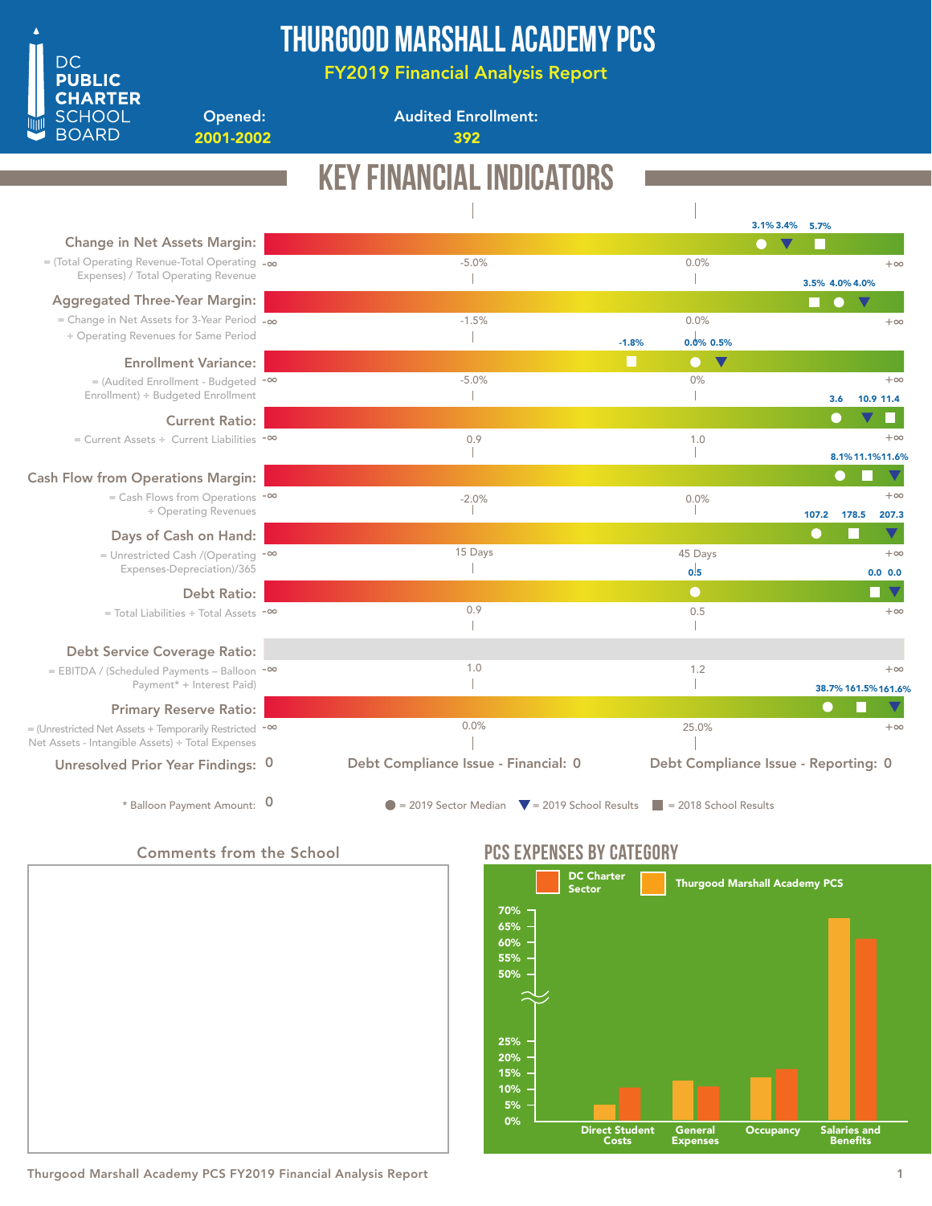

## Thurgood Marshall Academy PCS

FY2019 Financial Analysis Report

2001-2002 392

Opened:

Audited Enrollment:

|                                                                                                                         | KEY FINANCIAL INDICA<br>NRS                                                          |                       |                                      |
|-------------------------------------------------------------------------------------------------------------------------|--------------------------------------------------------------------------------------|-----------------------|--------------------------------------|
|                                                                                                                         |                                                                                      |                       | 3.1% 3.4% 5.7%                       |
| <b>Change in Net Assets Margin:</b>                                                                                     |                                                                                      |                       |                                      |
| $=$ (Total Operating Revenue-Total Operating $-\infty$<br>Expenses) / Total Operating Revenue                           | $-5.0%$                                                                              | 0.0%                  | $+\infty$<br>3.5% 4.0% 4.0%          |
| <b>Aggregated Three-Year Margin:</b>                                                                                    |                                                                                      |                       |                                      |
| = Change in Net Assets for 3-Year Period $-\infty$                                                                      | $-1.5%$                                                                              | 0.0%                  | $+\infty$                            |
| ÷ Operating Revenues for Same Period                                                                                    | $-1.8%$                                                                              | 0.0% 0.5%             |                                      |
| <b>Enrollment Variance:</b>                                                                                             |                                                                                      | $\bullet$ $\mathbf v$ |                                      |
| $=$ (Audited Enrollment - Budgeted $-$ <sup>00</sup>                                                                    | $-5.0%$                                                                              | 0%                    | $+\infty$                            |
| Enrollment) ÷ Budgeted Enrollment                                                                                       |                                                                                      |                       | 10.9 11.4<br>3.6                     |
| <b>Current Ratio:</b>                                                                                                   |                                                                                      |                       | $\blacksquare$                       |
| $=$ Current Assets ÷ Current Liabilities $-$ <sup>00</sup>                                                              | 0.9                                                                                  | 1.0                   | $+\infty$                            |
|                                                                                                                         |                                                                                      |                       | 8.1%11.1%11.6%                       |
| <b>Cash Flow from Operations Margin:</b>                                                                                |                                                                                      |                       |                                      |
| $=$ Cash Flows from Operations $-$ <sup>00</sup>                                                                        | $-2.0%$                                                                              | 0.0%                  | $+\infty$                            |
| ÷ Operating Revenues                                                                                                    |                                                                                      |                       | 107.2<br>207.3<br>178.5              |
| Days of Cash on Hand:                                                                                                   |                                                                                      |                       | $\blacktriangledown$<br>●            |
| = Unrestricted Cash /(Operating $-\infty$                                                                               | 15 Days                                                                              | 45 Days               | $+\infty$                            |
| Expenses-Depreciation)/365                                                                                              |                                                                                      | 0.5                   | 0.0 0.0                              |
| <b>Debt Ratio:</b>                                                                                                      |                                                                                      | $\bullet$             |                                      |
| $=$ Total Liabilities $\div$ Total Assets $\sim$                                                                        | 0.9                                                                                  | 0.5                   | $+\infty$                            |
|                                                                                                                         |                                                                                      |                       |                                      |
| <b>Debt Service Coverage Ratio:</b>                                                                                     |                                                                                      |                       |                                      |
| = EBITDA / (Scheduled Payments - Balloon -00                                                                            | 1.0                                                                                  | 1.2                   | $+\infty$                            |
| Payment* + Interest Paid)                                                                                               |                                                                                      |                       | 38.7% 161.5% 161.6%                  |
| <b>Primary Reserve Ratio:</b>                                                                                           |                                                                                      |                       | $\bigcirc$                           |
| = (Unrestricted Net Assets + Temporarily Restricted - <sup>00</sup><br>Net Assets - Intangible Assets) ÷ Total Expenses | 0.0%                                                                                 | 25.0%                 | $+\infty$                            |
| Unresolved Prior Year Findings: 0                                                                                       | Debt Compliance Issue - Financial: 0                                                 |                       | Debt Compliance Issue - Reporting: 0 |
| * Balloon Payment Amount: 0                                                                                             | $\bullet$ = 2019 Sector Median $\bullet$ = 2019 School Results = 2018 School Results |                       |                                      |

Comments from the School



### PCS EXPENSES BY CATEGORY



Thurgood Marshall Academy PCS FY2019 Financial Analysis Report